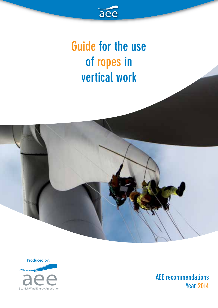

# **Guide for the use**  $\alpha$ **b of ropes in vertical work**



**AEE recommendations Year 2014**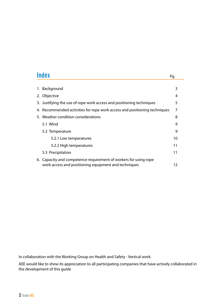|  |                                                                                                                          | Pq. |
|--|--------------------------------------------------------------------------------------------------------------------------|-----|
|  | 1. Background                                                                                                            | 3   |
|  | 2. Objective                                                                                                             | 4   |
|  | 3. Justifying the use of rope work access and positioning techniques                                                     | 5   |
|  | 4. Recommended activities for rope work access and positioning techniques                                                | 7   |
|  | 5. Weather condition considerations                                                                                      | 8   |
|  | 5.1 Wind                                                                                                                 | 9   |
|  | 5.2 Temperature                                                                                                          | 9   |
|  | 5.2.1 Low temperatures                                                                                                   | 10  |
|  | 5.2.2 High temperatures                                                                                                  | 11  |
|  | 5.3 Precipitation                                                                                                        | 11  |
|  | 6. Capacity and competence requirement of workers for using rope<br>work access and positioning equipment and techniques | 12  |

In collaboration with the Working Group on Health and Safety - Vertical work.

AEE would like to show its appreciation to all participating companies that have actively collaborated in the development of this guide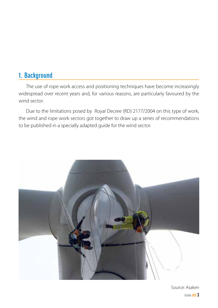## **1. Background**

The use of rope work access and positioning techniques have become increasingly widespread over recent years and, for various reasons, are particularly favoured by the wind sector.

Due to the limitations posed by Royal Decree (RD) 2177/2004 on this type of work, the wind and rope work sectors got together to draw up a series of recommendations to be published in a specially adapted guide for the wind sector.

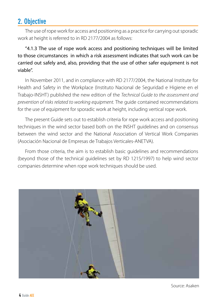## **2. Objective**

The use of rope work for access and positioning as a practice for carrying out sporadic work at height is referred to in RD 2177/2004 as follows:

#### "4.1.3 The use of rope work access and positioning techniques will be limited to those circumstances in which a risk assessment indicates that such work can be carried out safely and, also, providing that the use of other safer equipment is not viable".

In November 2011, and in compliance with RD 2177/2004, the National Institute for Health and Safety in the Workplace (Instituto Nacional de Seguridad e Higiene en el Trabajo-INSHT) published the new edition of the *Technical Guide to the assessment and prevention of risks related to working equipment.* The guide contained recommendations for the use of equipment for sporadic work at height, including vertical rope work.

The present Guide sets out to establish criteria for rope work access and positioning techniques in the wind sector based both on the INSHT guidelines and on consensus between the wind sector and the National Association of Vertical Work Companies (Asociación Nacional de Empresas de Trabajos Verticales-ANETVA).

From those criteria, the aim is to establish basic guidelines and recommendations (beyond those of the technical guidelines set by RD 1215/1997) to help wind sector companies determine when rope work techniques should be used.

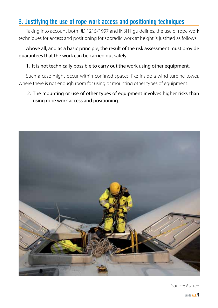## **3. Justifying the use of rope work access and positioning techniques**

Taking into account both RD 1215/1997 and INSHT guidelines, the use of rope work techniques for access and positioning for sporadic work at height is justified as follows:

Above all, and as a basic principle, the result of the risk assessment must provide guarantees that the work can be carried out safely.

#### 1. It is not technically possible to carry out the work using other equipment.

Such a case might occur within confined spaces, like inside a wind turbine tower, where there is not enough room for using or mounting other types of equipment.

#### 2. The mounting or use of other types of equipment involves higher risks than using rope work access and positioning.

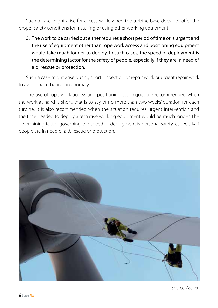Such a case might arise for access work, when the turbine base does not offer the proper safety conditions for installing or using other working equipment.

3. The work to be carried out either requires a short period of time or is urgent and the use of equipment other than rope work access and positioning equipment would take much longer to deploy. In such cases, the speed of deployment is the determining factor for the safety of people, especially if they are in need of aid, rescue or protection.

Such a case might arise during short inspection or repair work or urgent repair work to avoid exacerbating an anomaly.

The use of rope work access and positioning techniques are recommended when the work at hand is short, that is to say of no more than two weeks' duration for each turbine. It is also recommended when the situation requires urgent intervention and the time needed to deploy alternative working equipment would be much longer. The determining factor governing the speed of deployment is personal safety, especially if people are in need of aid, rescue or protection.

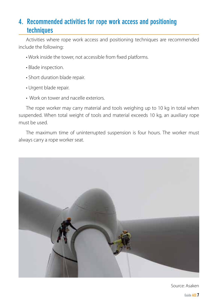# **4. Recommended activities for rope work access and positioning techniques**

Activities where rope work access and positioning techniques are recommended include the following:

- Work inside the tower, not accessible from fixed platforms.
- Blade inspection.
- Short duration blade repair.
- Urgent blade repair.
- Work on tower and nacelle exteriors.

The rope worker may carry material and tools weighing up to 10 kg in total when suspended. When total weight of tools and material exceeds 10 kg, an auxiliary rope must be used.

The maximum time of uninterrupted suspension is four hours. The worker must always carry a rope worker seat.

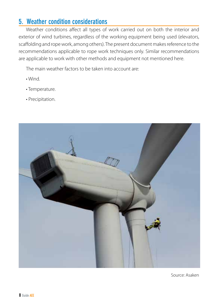## **5. Weather condition considerations**

Weather conditions affect all types of work carried out on both the interior and exterior of wind turbines, regardless of the working equipment being used (elevators, scaffolding and rope work, among others). The present document makes reference to the recommendations applicable to rope work techniques only. Similar recommendations are applicable to work with other methods and equipment not mentioned here.

The main weather factors to be taken into account are:

- Wind.
- Temperature.
- Precipitation.

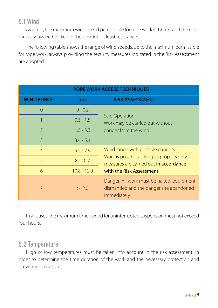## **5.1 Wind**

As a rule, the maximum wind speed permissible for rope work is 12 m/s and the rotor must always be blocked in the position of least resistance.

The following table shows the range of wind speeds, up to the maximum permissible for rope work, always providing the security measures indicated in the Risk Assessment are adopted.

| ROPE WORK ACCESS TECHNIQUES |               |                                                                                                       |  |  |  |  |  |  |  |  |
|-----------------------------|---------------|-------------------------------------------------------------------------------------------------------|--|--|--|--|--|--|--|--|
| <b>WIND FORCE</b>           | m/s           | <b>RISK ASSESSMENT</b>                                                                                |  |  |  |  |  |  |  |  |
| $\Omega$                    | $0 - 0.2$     |                                                                                                       |  |  |  |  |  |  |  |  |
|                             | $0.3 - 1.5$   | Safe Operation<br>Work may be carried out without                                                     |  |  |  |  |  |  |  |  |
| $\mathcal{P}$               | $1.5 - 3.3$   | danger from the wind                                                                                  |  |  |  |  |  |  |  |  |
| 3                           | $3.4 - 5.4$   |                                                                                                       |  |  |  |  |  |  |  |  |
| $\overline{4}$              | $5.5 - 7.9$   | Wind range with possible dangers                                                                      |  |  |  |  |  |  |  |  |
| 5                           | $8 - 10.7$    | Work is possible as long as proper safety<br>measures are carried out in accordance                   |  |  |  |  |  |  |  |  |
| 6                           | $10.8 - 12.0$ | with the Risk Assessment                                                                              |  |  |  |  |  |  |  |  |
| $\overline{7}$              | >12.0         | Danger. All work must be halted, equipment<br>dismantled and the danger site abandoned<br>immediately |  |  |  |  |  |  |  |  |

In all cases, the maximum time period for uninterrupted suspension must not exceed four hours.

#### **5.2 Temperature**

High or low temperatures must be taken into account in the risk assessment, in order to determine the time duration of the work and the necessary protection and prevention measures.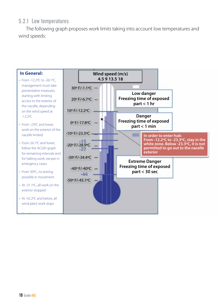#### **5.2.1 Low temperatures**

The following graph proposes work limits taking into account low temperatures and wind speeds:

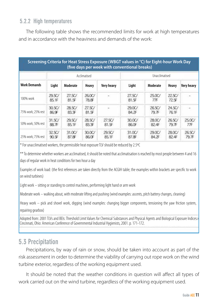#### **5.2.2 High temperatures**

The following table shows the recommended limits for work at high temperatures and in accordance with the heaviness and demands of the work:

| Screening Criteria for Heat Stress Exposure (WBGT values in °C) for Eight-hour Work Day<br>(five days per week with conventional breaks) |                 |                 |                 |                 |                 |                 |                 |                   |  |  |  |  |
|------------------------------------------------------------------------------------------------------------------------------------------|-----------------|-----------------|-----------------|-----------------|-----------------|-----------------|-----------------|-------------------|--|--|--|--|
|                                                                                                                                          | Acclimatised    |                 |                 |                 | Unacclimatised  |                 |                 |                   |  |  |  |  |
| <b>Work Demands</b>                                                                                                                      | Light           | Moderate        | Heavy           | Very heavy      | Light           | Moderate        | Heavy           | <b>Very heavy</b> |  |  |  |  |
| 100% work                                                                                                                                | 29.5C/<br>85.1F | 27.5C/<br>81.5F | 26.0C/<br>78.8F |                 | 27.5C/<br>81.5F | 25.0C/<br>77F   | 22.5C/<br>72.5  | ٠                 |  |  |  |  |
| 75% work: 25% rest                                                                                                                       | 30.5C/<br>86.9F | 28.5C/<br>83.3F | 27.5C/<br>81.5F |                 | 29.0C/<br>84.2F | 26.5C/<br>79.7F | 24.5C/<br>76.1F | -                 |  |  |  |  |
| 50% work: 50% rest                                                                                                                       | 31.5C/<br>88.7F | 29.50/<br>85.1F | 28.5C/<br>83.3F | 27.5C/<br>81.5F | 30.0C/<br>86.OF | 28.0C/<br>82.4F | 26.5C/<br>79.7F | 25.0C/<br>77F     |  |  |  |  |
| 25% work: 75% rest                                                                                                                       | 32.5C/<br>90.5F | 31.0C/<br>87.8F | 30.0C/<br>86.0F | 29.5C/<br>85.1F | 31.0C/<br>87.8F | 29.0C/<br>84.ZF | 28.0C/<br>82.4F | 26.5C/<br>79.7F   |  |  |  |  |

\* For unacclimatised workers, the permissible heat exposure TLV should be reduced by 2.5ºC

\*\* To determine whether workers are acclimatised, it should be noted that acclimatisation is reached by most people between 4 and 16 days of regular work in heat conditions for two hour a day

Examples of work load: (the first references are taken directly from the ACGIH table; the examples within brackets are specific to work on wind turbines)

Light work – sitting or standing to control machines, performing light hand or arm work

Moderate work – walking about, with moderate lifting and pushing (wind examples: ascents, pitch battery changes, cleaning)

Heavy work – pick and shovel work, digging (wind examples: changing bigger components, tensioning the yaw friction system, repairing gearbox)

Adopted from: 2001 TLVs and BEIs: Threshold Limit Values for Chemical Substances and Physical Agents and Biological Exposure Indices. Cincinnati, Ohio: American Conference of Governmental Industrial Hygienists, 2001. p. 171-172.

#### **5.3 Precipitation**

Precipitations, by way of rain or snow, should be taken into account as part of the risk assessment in order to determine the viability of carrying out rope work on the wind turbine exterior, regardless of the working equipment used.

It should be noted that the weather conditions in question will affect all types of work carried out on the wind turbine, regardless of the working equipment used.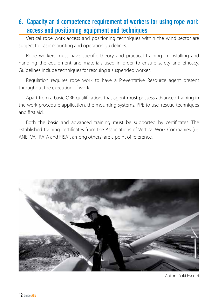# **6. Capacity an d competence requirement of workers for using rope work access and positioning equipment and techniques**

Vertical rope work access and positioning techniques within the wind sector are subject to basic mounting and operation guidelines.

Rope workers must have specific theory and practical training in installing and handling the equipment and materials used in order to ensure safety and efficacy. Guidelines include techniques for rescuing a suspended worker.

Regulation requires rope work to have a Preventative Resource agent present throughout the execution of work.

Apart from a basic ORP qualification, that agent must possess advanced training in the work procedure application, the mounting systems, PPE to use, rescue techniques and first aid.

Both the basic and advanced training must be supported by certificates. The established training certificates from the Associations of Vertical Work Companies (i.e. ANETVA, IRATA and FISAT, among others) are a point of reference.



Autor: Iñaki Escubi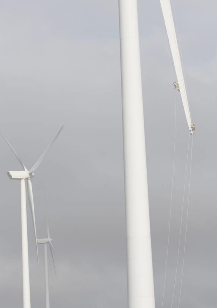